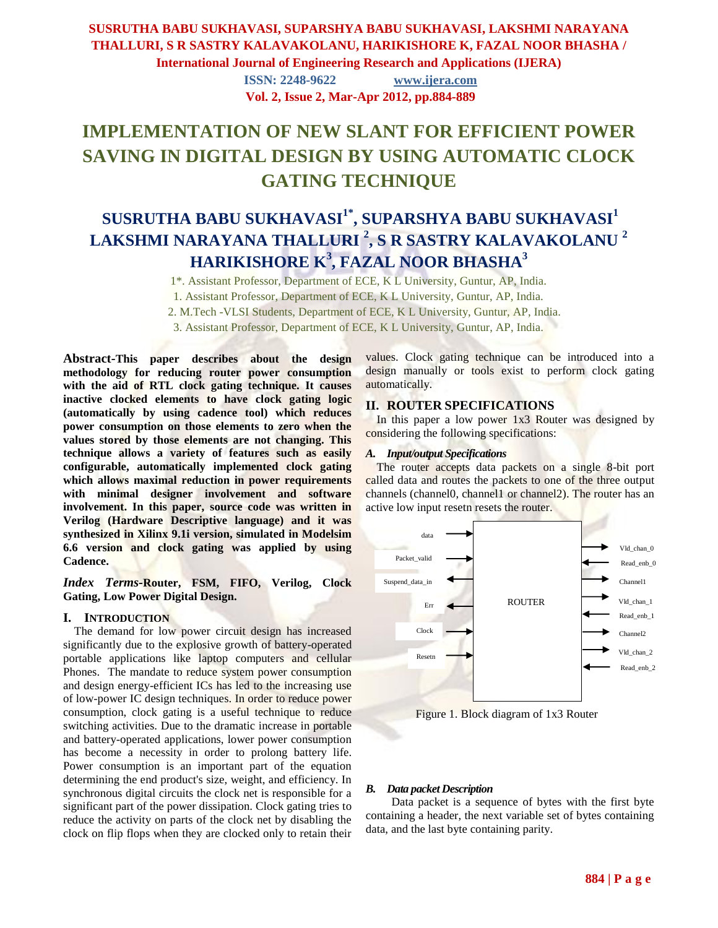# **SUSRUTHA BABU SUKHAVASI, SUPARSHYA BABU SUKHAVASI, LAKSHMI NARAYANA THALLURI, S R SASTRY KALAVAKOLANU, HARIKISHORE K, FAZAL NOOR BHASHA /**

**International Journal of Engineering Research and Applications (IJERA)**

**ISSN: 2248-9622 www.ijera.com Vol. 2, Issue 2, Mar-Apr 2012, pp.884-889**

# **IMPLEMENTATION OF NEW SLANT FOR EFFICIENT POWER SAVING IN DIGITAL DESIGN BY USING AUTOMATIC CLOCK GATING TECHNIQUE**

# **SUSRUTHA BABU SUKHAVASI1\* , SUPARSHYA BABU SUKHAVASI<sup>1</sup> LAKSHMI NARAYANA THALLURI <sup>2</sup> , S R SASTRY KALAVAKOLANU <sup>2</sup> HARIKISHORE K<sup>3</sup> , FAZAL NOOR BHASHA 3**

1\*. Assistant Professor, Department of ECE, K L University, Guntur, AP, India.

1. Assistant Professor, Department of ECE, K L University, Guntur, AP, India.

2. M.Tech -VLSI Students, Department of ECE, K L University, Guntur, AP, India.

3. Assistant Professor, Department of ECE, K L University, Guntur, AP, India.

**Abstract***-***This paper describes about the design methodology for reducing router power consumption with the aid of RTL clock gating technique. It causes inactive clocked elements to have clock gating logic (automatically by using cadence tool) which reduces power consumption on those elements to zero when the values stored by those elements are not changing. This technique allows a variety of features such as easily configurable, automatically implemented clock gating which allows maximal reduction in power requirements with minimal designer involvement and software involvement. In this paper, source code was written in Verilog (Hardware Descriptive language) and it was synthesized in Xilinx 9.1i version, simulated in Modelsim 6.6 version and clock gating was applied by using Cadence.**

*Index Terms-***Router, FSM, FIFO, Verilog, Clock Gating, Low Power Digital Design.** 

#### **I. INTRODUCTION**

The demand for low power circuit design has increased significantly due to the explosive growth of battery-operated portable applications like laptop computers and cellular Phones. The mandate to reduce system power consumption and design energy-efficient ICs has led to the increasing use of low-power IC design techniques. In order to reduce power consumption, clock gating is a useful technique to reduce switching activities. Due to the dramatic increase in portable and battery-operated applications, lower power consumption has become a necessity in order to prolong battery life. Power consumption is an important part of the equation determining the end product's size, weight, and efficiency. In synchronous digital circuits the clock net is responsible for a significant part of the power dissipation. Clock gating tries to reduce the activity on parts of the clock net by disabling the clock on flip flops when they are clocked only to retain their values. Clock gating technique can be introduced into a design manually or tools exist to perform clock gating automatically.

#### **II. ROUTER SPECIFICATIONS**

In this paper a low power 1x3 Router was designed by considering the following specifications:

#### *A. Input/output Specifications*

The router accepts data packets on a single 8-bit port called data and routes the packets to one of the three output channels (channel0, channel1 or channel2). The router has an active low input resetn resets the router.



Figure 1. Block diagram of 1x3 Router

#### *B. Data packet Description*

 Data packet is a sequence of bytes with the first byte containing a header, the next variable set of bytes containing data, and the last byte containing parity.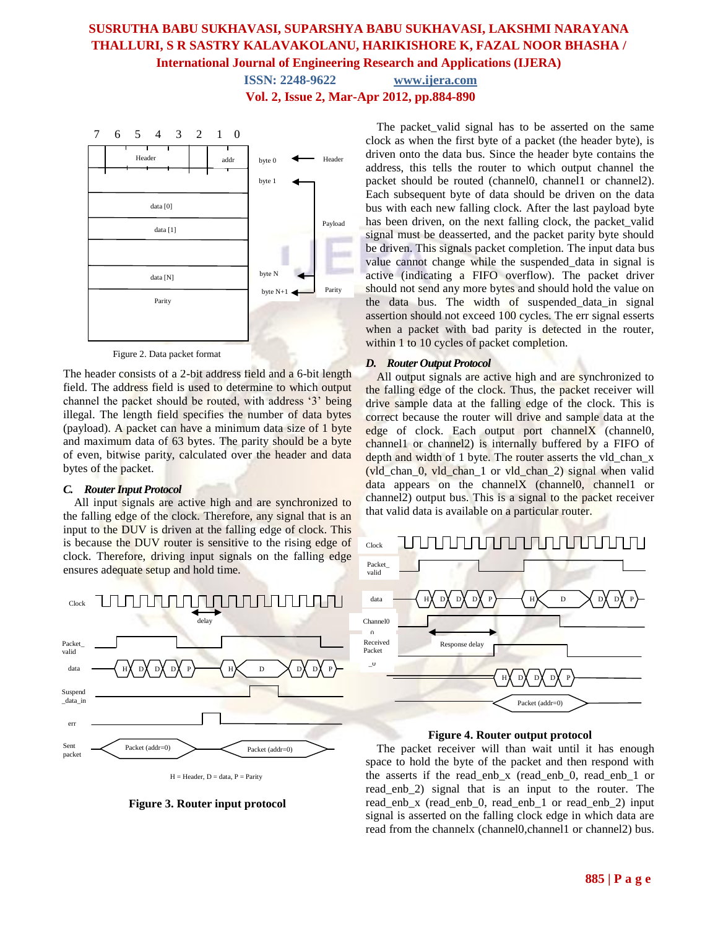**ISSN: 2248-9622 www.ijera.com Vol. 2, Issue 2, Mar-Apr 2012, pp.884-890**



The header consists of a 2-bit address field and a 6-bit length field. The address field is used to determine to which output channel the packet should be routed, with address "3" being illegal. The length field specifies the number of data bytes (payload). A packet can have a minimum data size of 1 byte and maximum data of 63 bytes. The parity should be a byte of even, bitwise parity, calculated over the header and data bytes of the packet.

#### *C. Router Input Protocol*

All input signals are active high and are synchronized to the falling edge of the clock. Therefore, any signal that is an input to the DUV is driven at the falling edge of clock. This is because the DUV router is sensitive to the rising edge of clock. Therefore, driving input signals on the falling edge ensures adequate setup and hold time.



 $H =$  Header,  $D =$  data,  $P =$  Parity

**Figure 3. Router input protocol**

The packet valid signal has to be asserted on the same clock as when the first byte of a packet (the header byte), is driven onto the data bus. Since the header byte contains the address, this tells the router to which output channel the packet should be routed (channel0, channel1 or channel2). Each subsequent byte of data should be driven on the data bus with each new falling clock. After the last payload byte has been driven, on the next falling clock, the packet valid signal must be deasserted, and the packet parity byte should be driven. This signals packet completion. The input data bus value cannot change while the suspended\_data in signal is active (indicating a FIFO overflow). The packet driver should not send any more bytes and should hold the value on the data bus. The width of suspended data in signal assertion should not exceed 100 cycles. The err signal esserts when a packet with bad parity is detected in the router, within 1 to 10 cycles of packet completion.

#### *D. Router Output Protocol*

All output signals are active high and are synchronized to the falling edge of the clock. Thus, the packet receiver will drive sample data at the falling edge of the clock. This is correct because the router will drive and sample data at the edge of clock. Each output port channelX (channel0, channel1 or channel2) is internally buffered by a FIFO of depth and width of 1 byte. The router asserts the vld chan x (vld chan  $0$ , vld chan 1 or vld chan 2) signal when valid data appears on the channelX (channel0, channel1 or channel2) output bus. This is a signal to the packet receiver that valid data is available on a particular router.



**Figure 4. Router output protocol**

The packet receiver will than wait until it has enough space to hold the byte of the packet and then respond with the asserts if the read\_enb\_x (read\_enb\_0, read\_enb\_1 or read enb 2) signal that is an input to the router. The read\_enb\_x (read\_enb\_0, read\_enb\_1 or read\_enb\_2) input signal is asserted on the falling clock edge in which data are read from the channelx (channel0,channel1 or channel2) bus.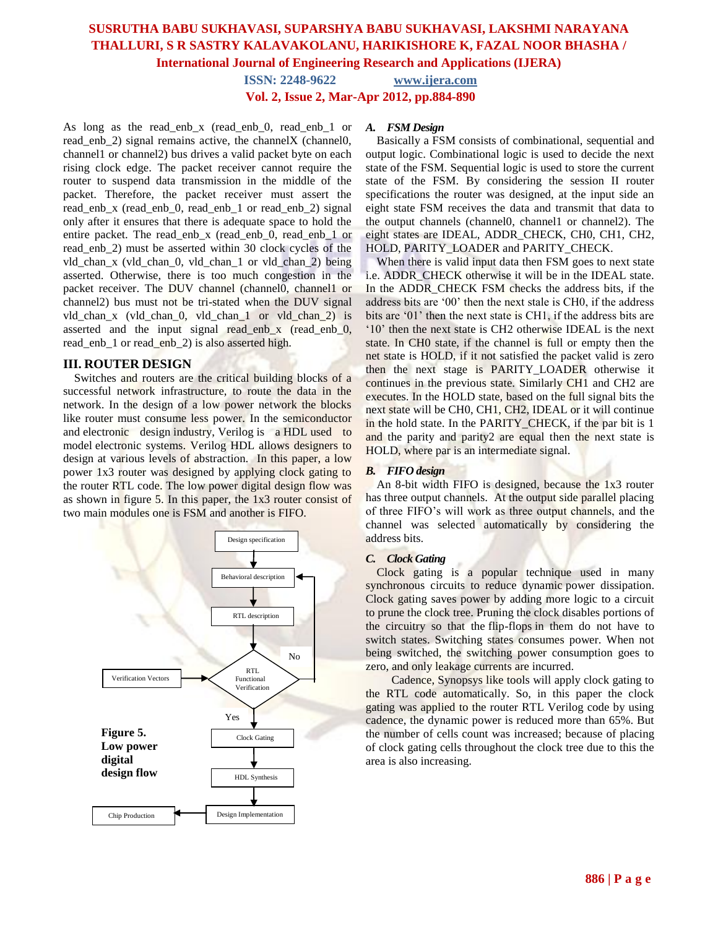**ISSN: 2248-9622 www.ijera.com Vol. 2, Issue 2, Mar-Apr 2012, pp.884-890**

As long as the read enb x (read enb 0, read enb 1 or read enb 2) signal remains active, the channelX (channel0, channel1 or channel2) bus drives a valid packet byte on each rising clock edge. The packet receiver cannot require the router to suspend data transmission in the middle of the packet. Therefore, the packet receiver must assert the read\_enb\_x (read\_enb\_0, read\_enb\_1 or read\_enb\_2) signal only after it ensures that there is adequate space to hold the entire packet. The read enb x (read enb 0, read enb 1 or read\_enb\_2) must be asserted within 30 clock cycles of the vld\_chan\_x (vld\_chan\_0, vld\_chan\_1 or vld\_chan\_2) being asserted. Otherwise, there is too much congestion in the packet receiver. The DUV channel (channel0, channel1 or channel2) bus must not be tri-stated when the DUV signal vld\_chan\_x (vld\_chan\_0, vld\_chan\_1 or vld\_chan\_2) is asserted and the input signal read\_enb\_x (read\_enb\_0, read enb 1 or read enb 2) is also asserted high.

#### **III. ROUTER DESIGN**

Switches and routers are the critical building blocks of a successful network infrastructure, to route the data in the network. In the design of a low power network the blocks like router must consume less power. In the semiconductor and [electronic design](http://en.wikipedia.org/wiki/Electronic_design_automation) industry, Verilog is a HDL used to model [electronic systems.](http://en.wikipedia.org/wiki/Electronics#Electronic_systems) Verilog HDL allows designers to design at various levels of abstraction. In this paper, a low power 1x3 router was designed by applying clock gating to the router RTL code. The low power digital design flow was as shown in figure 5. In this paper, the 1x3 router consist of two main modules one is FSM and another is FIFO.



#### *A. FSM Design*

Basically a FSM consists of combinational, sequential and output logic. Combinational logic is used to decide the next state of the FSM. Sequential logic is used to store the current state of the FSM. By considering the session II router specifications the router was designed, at the input side an eight state FSM receives the data and transmit that data to the output channels (channel0, channel1 or channel2). The eight states are IDEAL, ADDR\_CHECK, CH0, CH1, CH2, HOLD, PARITY\_LOADER and PARITY\_CHECK.

When there is valid input data then FSM goes to next state i.e. ADDR\_CHECK otherwise it will be in the IDEAL state. In the ADDR\_CHECK FSM checks the address bits, if the address bits are "00" then the next stale is CH0, if the address bits are '01' then the next state is CH1, if the address bits are "10" then the next state is CH2 otherwise IDEAL is the next state. In CH0 state, if the channel is full or empty then the net state is HOLD, if it not satisfied the packet valid is zero then the next stage is PARITY\_LOADER otherwise it continues in the previous state. Similarly CH1 and CH2 are executes. In the HOLD state, based on the full signal bits the next state will be CH0, CH1, CH2, IDEAL or it will continue in the hold state. In the PARITY CHECK, if the par bit is 1 and the parity and parity2 are equal then the next state is HOLD, where par is an intermediate signal.

#### *B. FIFO design*

An 8-bit width FIFO is designed, because the 1x3 router has three output channels. At the output side parallel placing of three FIFO"s will work as three output channels, and the channel was selected automatically by considering the address bits.

#### *C. Clock Gating*

Clock gating is a popular technique used in many synchronous circuits to reduce dynamic [power dissipation.](http://en.wikipedia.org/wiki/Power_dissipation) Clock gating saves power by adding more logic to a circuit to prune the [clock tree.](http://en.wikipedia.org/wiki/Clock_tree) Pruning the clock disables portions of the circuitry so that the [flip-flops](http://en.wikipedia.org/wiki/Flip-flop_(electronics)) in them do not have to switch states. Switching states consumes power. When not being switched, the switching power consumption goes to zero, and only [leakage currents](http://en.wikipedia.org/wiki/Leakage_(semiconductors)) are incurred.

 Cadence, Synopsys like tools will apply clock gating to the RTL code automatically. So, in this paper the clock gating was applied to the router RTL Verilog code by using cadence, the dynamic power is reduced more than 65%. But the number of cells count was increased; because of placing of clock gating cells throughout the clock tree due to this the area is also increasing.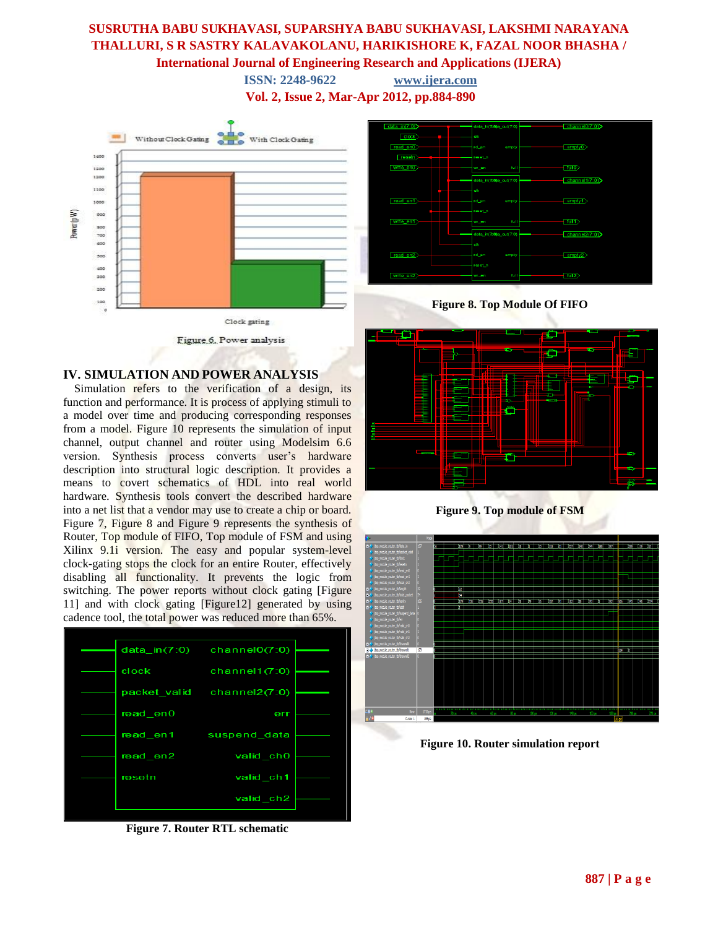**ISSN: 2248-9622 www.ijera.com Vol. 2, Issue 2, Mar-Apr 2012, pp.884-890**



## **IV. SIMULATION AND POWER ANALYSIS**

Simulation refers to the verification of a design, its function and performance. It is process of applying stimuli to a model over time and producing corresponding responses from a model. Figure 10 represents the simulation of input channel, output channel and router using Modelsim 6.6 version. Synthesis process converts user's hardware description into structural logic description. It provides a means to covert schematics of HDL into real world hardware. Synthesis tools convert the described hardware into a net list that a vendor may use to create a chip or board. Figure 7, Figure 8 and Figure 9 represents the synthesis of Router, Top module of FIFO, Top module of FSM and using Xilinx 9.1i version. The easy and popular system-level clock-gating stops the clock for an entire Router, effectively disabling all functionality. It prevents the logic from switching. The power reports without clock gating [Figure] 11] and with clock gating [Figure12] generated by using cadence tool, the total power was reduced more than 65%.



**Figure 7. Router RTL schematic**



**Figure 8. Top Module Of FIFO**







**Figure 10. Router simulation report**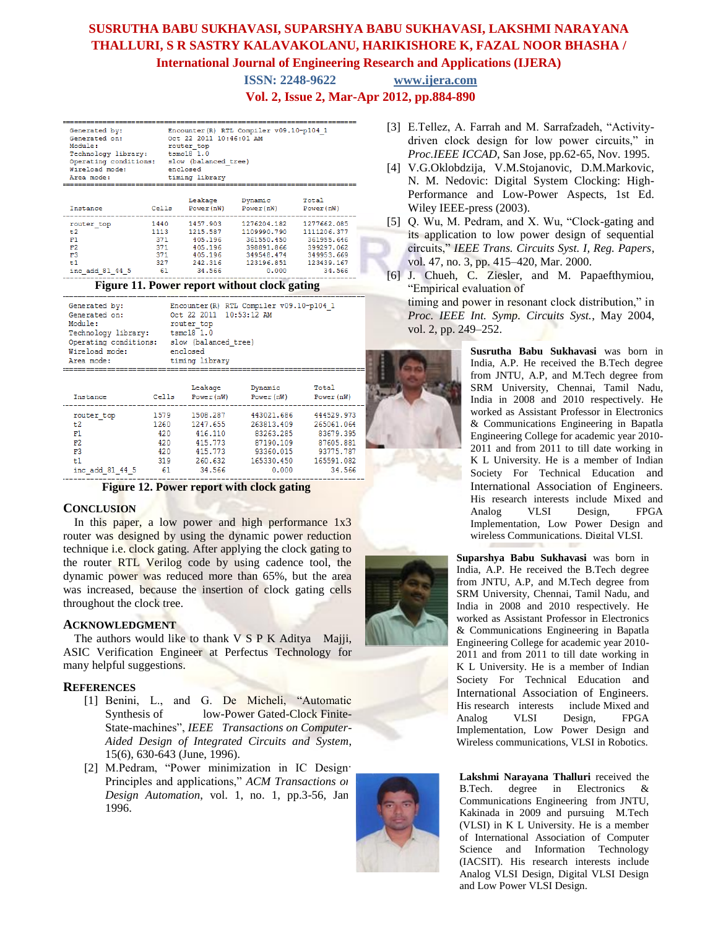**ISSN: 2248-9622 www.ijera.com**

**Vol. 2, Issue 2, Mar-Apr 2012, pp.884-890**

| Encounter (R) RTL Compiler v09.10-p104 1<br>Generated by:<br>Oct. 22 2011 10:46:01 AM<br>Generated on:<br>Module:<br>router top<br>Technology library: tsmc18 1.0<br>Operating conditions: slow (balanced tree)<br>Wireload mode:<br>enclosed<br>Area mode:<br>timing library |                          |                                                                           |                                                                                                         |                                                                                              |  |  |
|-------------------------------------------------------------------------------------------------------------------------------------------------------------------------------------------------------------------------------------------------------------------------------|--------------------------|---------------------------------------------------------------------------|---------------------------------------------------------------------------------------------------------|----------------------------------------------------------------------------------------------|--|--|
| Instance                                                                                                                                                                                                                                                                      |                          |                                                                           | Leakage Dynamic<br>Cells Power(nW) Power(nW) Power(nW)                                                  | Total                                                                                        |  |  |
| router top<br>t.2<br>F1<br>F2<br>F <sub>3</sub><br>t1<br>inc add 81 44 5                                                                                                                                                                                                      | 371 - 371<br>371 —<br>61 | 1440 1457,903<br>1113 1215.587<br>405.196<br>405.196<br>242.316<br>34.566 | 1276204.182<br>1109990.790<br>371 405.196 361550.450<br>398891.866<br>349548.474<br>123196.851<br>0.000 | 1277662.085<br>1111206.377<br>361955.646<br>399297.062<br>349953.669<br>123439.167<br>34.566 |  |  |

| Generated by:<br>Generated on:<br>Module:<br>Technology library:<br>Operating conditions:<br>Wireload mode:<br>Area mode: | Oct 22 2011 10:53:12 AM<br>router top<br>$tsmc18$ 1.0<br>slow (balanced tree)<br>enclosed<br>timing library | Encounter (R) RTL Compiler v09.10-p104 1 |  |
|---------------------------------------------------------------------------------------------------------------------------|-------------------------------------------------------------------------------------------------------------|------------------------------------------|--|

| Instance        | Cells | Leakage<br>Power $(nW)$ | Dynamic<br>Power (nW) | Total<br>Power $(nW)$ |
|-----------------|-------|-------------------------|-----------------------|-----------------------|
| router top      | 1579  | 1508.287                | 443021.686            | 444529.973            |
| t2              | 1260  | 1247.655                | 263813.409            | 265061.064            |
| F1              | 420   | 416.110                 | 83263.285             | 83679.395             |
| F2              | 420   | 415.773                 | 87190.109             | 87605.881             |
| F3              | 420   | 415.773                 | 93360.015             | 93775.787             |
| t1              | 319   | 260.632                 | 165330.450            | 165591.082            |
| inc add 81 44 5 | 61    | 34,566                  | 0.000                 | 34.566                |
|                 |       |                         |                       |                       |

**Figure 12. Power report with clock gating**

### **CONCLUSION**

In this paper, a low power and high performance 1x3 router was designed by using the dynamic power reduction technique i.e. clock gating. After applying the clock gating to the router RTL Verilog code by using cadence tool, the dynamic power was reduced more than 65%, but the area was increased, because the insertion of clock gating cells throughout the clock tree.

### **ACKNOWLEDGMENT**

The authors would like to thank V S P K Aditya Majji, ASIC Verification Engineer at Perfectus Technology for many helpful suggestions.

## **REFERENCES**

- [1] Benini, L., and G. De Micheli, "Automatic Synthesis of low-Power Gated-Clock Finite-State-machines", *IEEE Transactions on Computer-Aided Design of Integrated Circuits and System*, 15(6), 630-643 (June, 1996).
- [2] M.Pedram, "Power minimization in IC Design: Principles and applications," *ACM Transactions on Design Automation*, vol. 1, no. 1, pp.3-56, Jan. 1996.
- [3] E.Tellez, A. Farrah and M. Sarrafzadeh, "Activitydriven clock design for low power circuits," in *Proc.IEEE ICCAD*, San Jose, pp.62-65, Nov. 1995.
- [4] V.G.Oklobdzija, V.M.Stojanovic, D.M.Markovic, N. M. Nedovic: Digital System Clocking: High-Performance and Low-Power Aspects, 1st Ed. Wiley IEEE-press (2003).
- [5] Q. Wu, M. Pedram, and X. Wu, "Clock-gating and its application to low power design of sequential circuits," *IEEE Trans. Circuits Syst. I, Reg. Papers*, vol. 47, no. 3, pp. 415–420, Mar. 2000.
- [6] J. Chueh, C. Ziesler, and M. Papaefthymiou, "Empirical evaluation of

timing and power in resonant clock distribution," in *Proc. IEEE Int. Symp. Circuits Syst.*, May 2004, vol. 2, pp. 249–252.

> **Susrutha Babu Sukhavasi** was born in India, A.P. He received the B.Tech degree from JNTU, A.P, and M.Tech degree from SRM University, Chennai, Tamil Nadu, India in 2008 and 2010 respectively. He worked as Assistant Professor in Electronics & Communications Engineering in Bapatla Engineering College for academic year 2010- 2011 and from 2011 to till date working in K L University. He is a member of Indian Society For Technical Education and International Association of Engineers. His research interests include Mixed and Analog VLSI Design, FPGA Implementation, Low Power Design and wireless Communications, Digital VLSI.

**Suparshya Babu Sukhavasi** was born in India, A.P. He received the B.Tech degree from JNTU, A.P, and M.Tech degree from SRM University, Chennai, Tamil Nadu, and India in 2008 and 2010 respectively. He worked as Assistant Professor in Electronics & Communications Engineering in Bapatla Engineering College for academic year 2010- 2011 and from 2011 to till date working in K L University. He is a member of Indian Society For Technical Education and International Association of Engineers. His research interests include Mixed and Analog VLSI Design, FPGA Implementation, Low Power Design and Wireless communications, VLSI in Robotics.

**8888 PLSI Design, Digital VLSI Design and Law Bower VI SI Design Lakshmi Narayana Thalluri** received the B.Tech. degree in Electronics & Communications Engineering from JNTU, Kakinada in 2009 and pursuing M.Tech (VLSI) in K L University. He is a member of International Association of Computer Science and Information Technology (IACSIT). His research interests include and Low Power VLSI Design.